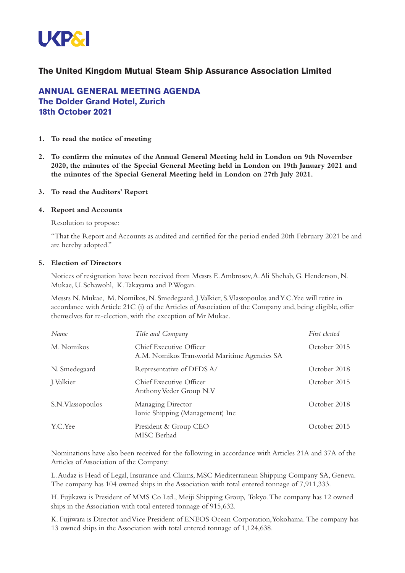

## **The United Kingdom Mutual Steam Ship Assurance Association Limited**

# **ANNUAL GENERAL MEETING AGENDA The Dolder Grand Hotel, Zurich 18th October 2021**

- **1. To read the notice of meeting**
- **2. To confirm the minutes of the Annual General Meeting held in London on 9th November 2020, the minutes of the Special General Meeting held in London on 19th January 2021 and the minutes of the Special General Meeting held in London on 27th July 2021.**
- **3. To read the Auditors' Report**

#### **4. Report and Accounts**

Resolution to propose:

"That the Report and Accounts as audited and certified for the period ended 20th February 2021 be and are hereby adopted."

#### **5. Election of Directors**

Notices of resignation have been received from Messrs E.Ambrosov,A.Ali Shehab, G. Henderson, N. Mukae, U. Schawohl, K.Takayama and P.Wogan.

Messrs N. Mukae, M. Nomikos, N. Smedegaard, J.Valkier, S.Vlassopoulos andY.C.Yee will retire in accordance with Article 21C (i) of the Articles of Association of the Company and, being eligible, offer themselves for re-election, with the exception of Mr Mukae.

| Name             | Title and Company                                                       | First elected |
|------------------|-------------------------------------------------------------------------|---------------|
| M. Nomikos       | Chief Executive Officer<br>A.M. Nomikos Transworld Maritime Agencies SA | October 2015  |
| N. Smedegaard    | Representative of DFDS A/                                               | October 2018  |
| J. Valkier       | Chief Executive Officer<br>Anthony Veder Group N.V                      | October 2015  |
| S.N.Vlassopoulos | Managing Director<br>Ionic Shipping (Management) Inc                    | October 2018  |
| Y.C.Yee          | President & Group CEO<br>MISC Berhad                                    | October 2015  |

Nominations have also been received for the following in accordance with Articles 21A and 37A of the Articles of Association of the Company:

L.Audaz is Head of Legal, Insurance and Claims, MSC Mediterranean Shipping Company SA, Geneva. The company has 104 owned ships in the Association with total entered tonnage of 7,911,333.

H. Fujikawa is President of MMS Co Ltd., Meiji Shipping Group, Tokyo.The company has 12 owned ships in the Association with total entered tonnage of 915,632.

K. Fujiwara is Director andVice President of ENEOS Ocean Corporation,Yokohama.The company has 13 owned ships in the Association with total entered tonnage of 1,124,638.